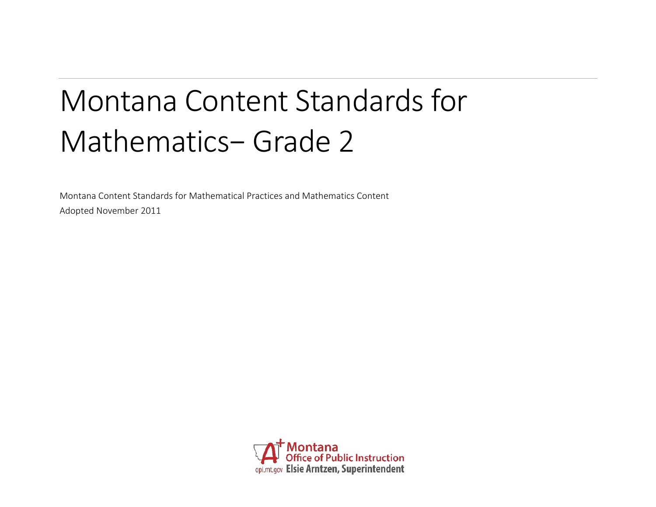# Montana Content Standards for Mathematics− Grade 2

Montana Content Standards for Mathematical Practices and Mathematics Content Adopted November 2011

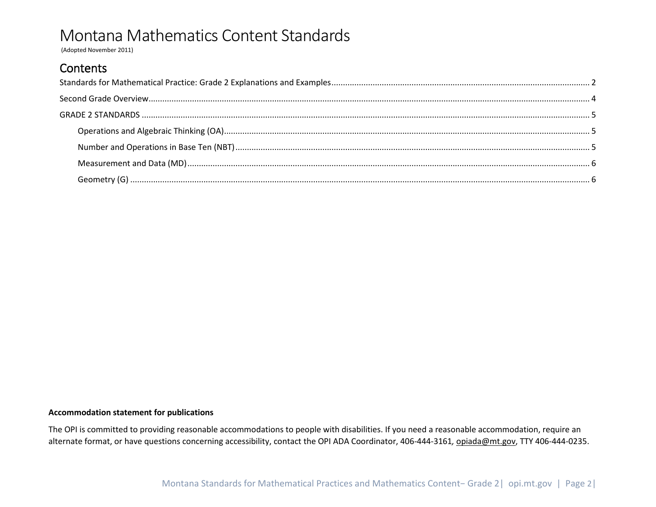(Adopted November 2011)

### **Contents**

<span id="page-1-0"></span>

#### **Accommodation statement for publications**

The OPI is committed to providing reasonable accommodations to people with disabilities. If you need a reasonable accommodation, require an alternate format, or have questions concerning accessibility, contact the OPI ADA Coordinator, 406-444-3161*,* [opiada@mt.gov,](mailto:opiada@mt.gov) TTY 406-444-0235.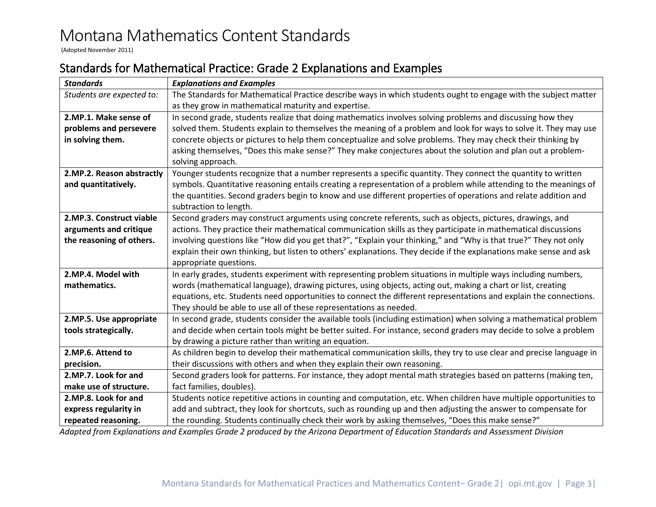(Adopted November 2011)

### Standards for Mathematical Practice: Grade 2 Explanations and Examples

| <b>Standards</b>          | <b>Explanations and Examples</b>                                                                                    |  |  |  |  |
|---------------------------|---------------------------------------------------------------------------------------------------------------------|--|--|--|--|
| Students are expected to: | The Standards for Mathematical Practice describe ways in which students ought to engage with the subject matter     |  |  |  |  |
|                           | as they grow in mathematical maturity and expertise.                                                                |  |  |  |  |
| 2.MP.1. Make sense of     | In second grade, students realize that doing mathematics involves solving problems and discussing how they          |  |  |  |  |
| problems and persevere    | solved them. Students explain to themselves the meaning of a problem and look for ways to solve it. They may use    |  |  |  |  |
| in solving them.          | concrete objects or pictures to help them conceptualize and solve problems. They may check their thinking by        |  |  |  |  |
|                           | asking themselves, "Does this make sense?" They make conjectures about the solution and plan out a problem-         |  |  |  |  |
|                           | solving approach.                                                                                                   |  |  |  |  |
| 2.MP.2. Reason abstractly | Younger students recognize that a number represents a specific quantity. They connect the quantity to written       |  |  |  |  |
| and quantitatively.       | symbols. Quantitative reasoning entails creating a representation of a problem while attending to the meanings of   |  |  |  |  |
|                           | the quantities. Second graders begin to know and use different properties of operations and relate addition and     |  |  |  |  |
|                           | subtraction to length.                                                                                              |  |  |  |  |
| 2.MP.3. Construct viable  | Second graders may construct arguments using concrete referents, such as objects, pictures, drawings, and           |  |  |  |  |
| arguments and critique    | actions. They practice their mathematical communication skills as they participate in mathematical discussions      |  |  |  |  |
| the reasoning of others.  | involving questions like "How did you get that?", "Explain your thinking," and "Why is that true?" They not only    |  |  |  |  |
|                           | explain their own thinking, but listen to others' explanations. They decide if the explanations make sense and ask  |  |  |  |  |
|                           | appropriate questions.                                                                                              |  |  |  |  |
| 2.MP.4. Model with        | In early grades, students experiment with representing problem situations in multiple ways including numbers,       |  |  |  |  |
| mathematics.              | words (mathematical language), drawing pictures, using objects, acting out, making a chart or list, creating        |  |  |  |  |
|                           | equations, etc. Students need opportunities to connect the different representations and explain the connections.   |  |  |  |  |
|                           | They should be able to use all of these representations as needed.                                                  |  |  |  |  |
| 2.MP.5. Use appropriate   | In second grade, students consider the available tools (including estimation) when solving a mathematical problem   |  |  |  |  |
| tools strategically.      | and decide when certain tools might be better suited. For instance, second graders may decide to solve a problem    |  |  |  |  |
|                           | by drawing a picture rather than writing an equation.                                                               |  |  |  |  |
| 2.MP.6. Attend to         | As children begin to develop their mathematical communication skills, they try to use clear and precise language in |  |  |  |  |
| precision.                | their discussions with others and when they explain their own reasoning.                                            |  |  |  |  |
| 2.MP.7. Look for and      | Second graders look for patterns. For instance, they adopt mental math strategies based on patterns (making ten,    |  |  |  |  |
| make use of structure.    | fact families, doubles).                                                                                            |  |  |  |  |
| 2.MP.8. Look for and      | Students notice repetitive actions in counting and computation, etc. When children have multiple opportunities to   |  |  |  |  |
| express regularity in     | add and subtract, they look for shortcuts, such as rounding up and then adjusting the answer to compensate for      |  |  |  |  |
| repeated reasoning.       | the rounding. Students continually check their work by asking themselves, "Does this make sense?"                   |  |  |  |  |

*Adapted from Explanations and Examples Grade 2 produced by the Arizona Department of Education Standards and Assessment Division*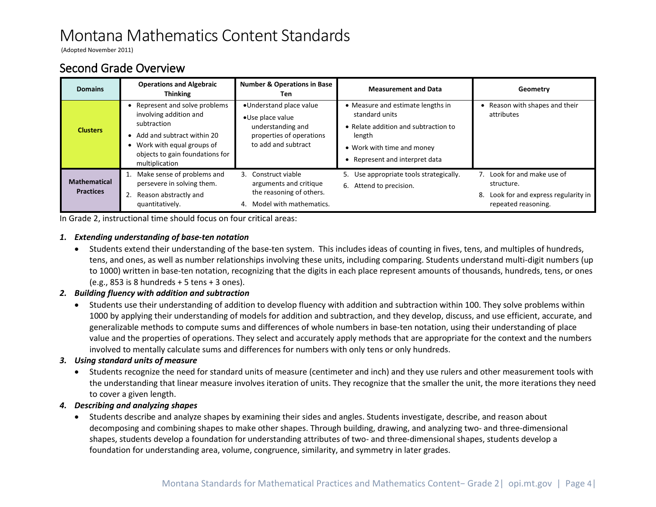(Adopted November 2011)

### <span id="page-3-0"></span>Second Grade Overview

| <b>Domains</b>                          | <b>Operations and Algebraic</b><br><b>Thinking</b>                                                                                                                                          | <b>Number &amp; Operations in Base</b><br>Ten                                                                       | <b>Measurement and Data</b>                                                                                                                                           | Geometry                                                                                                  |
|-----------------------------------------|---------------------------------------------------------------------------------------------------------------------------------------------------------------------------------------------|---------------------------------------------------------------------------------------------------------------------|-----------------------------------------------------------------------------------------------------------------------------------------------------------------------|-----------------------------------------------------------------------------------------------------------|
| <b>Clusters</b>                         | • Represent and solve problems<br>involving addition and<br>subtraction<br>• Add and subtract within 20<br>• Work with equal groups of<br>objects to gain foundations for<br>multiplication | •Understand place value<br>•Use place value<br>understanding and<br>properties of operations<br>to add and subtract | • Measure and estimate lengths in<br>standard units<br>• Relate addition and subtraction to<br>length<br>• Work with time and money<br>• Represent and interpret data | Reason with shapes and their<br>attributes                                                                |
| <b>Mathematical</b><br><b>Practices</b> | Make sense of problems and<br>persevere in solving them.<br>Reason abstractly and<br>quantitatively.                                                                                        | 3. Construct viable<br>arguments and critique<br>the reasoning of others.<br>4. Model with mathematics.             | 5. Use appropriate tools strategically.<br>6. Attend to precision.                                                                                                    | 7. Look for and make use of<br>structure.<br>8. Look for and express regularity in<br>repeated reasoning. |

In Grade 2, instructional time should focus on four critical areas:

#### *1. Extending understanding of base-ten notation*

• Students extend their understanding of the base-ten system. This includes ideas of counting in fives, tens, and multiples of hundreds, tens, and ones, as well as number relationships involving these units, including comparing. Students understand multi-digit numbers (up to 1000) written in base-ten notation, recognizing that the digits in each place represent amounts of thousands, hundreds, tens, or ones (e.g., 853 is 8 hundreds + 5 tens + 3 ones).

#### *2. Building fluency with addition and subtraction*

• Students use their understanding of addition to develop fluency with addition and subtraction within 100. They solve problems within 1000 by applying their understanding of models for addition and subtraction, and they develop, discuss, and use efficient, accurate, and generalizable methods to compute sums and differences of whole numbers in base-ten notation, using their understanding of place value and the properties of operations. They select and accurately apply methods that are appropriate for the context and the numbers involved to mentally calculate sums and differences for numbers with only tens or only hundreds.

#### *3. Using standard units of measure*

• Students recognize the need for standard units of measure (centimeter and inch) and they use rulers and other measurement tools with the understanding that linear measure involves iteration of units. They recognize that the smaller the unit, the more iterations they need to cover a given length.

#### *4. Describing and analyzing shapes*

• Students describe and analyze shapes by examining their sides and angles. Students investigate, describe, and reason about decomposing and combining shapes to make other shapes. Through building, drawing, and analyzing two- and three-dimensional shapes, students develop a foundation for understanding attributes of two- and three-dimensional shapes, students develop a foundation for understanding area, volume, congruence, similarity, and symmetry in later grades.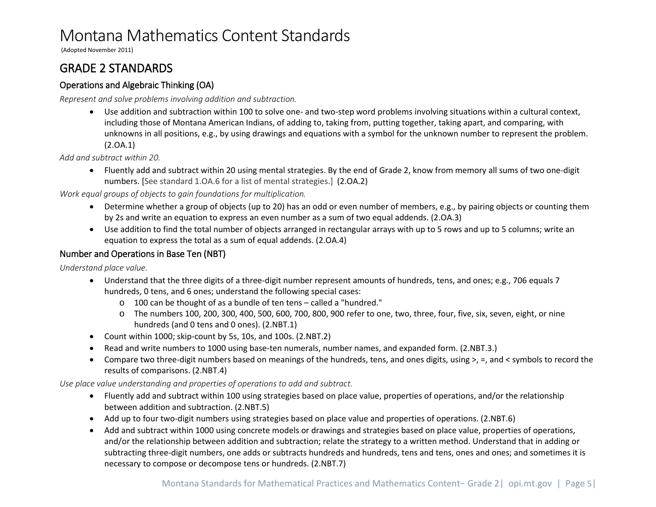(Adopted November 2011)

### <span id="page-4-0"></span>GRADE 2 STANDARDS

#### <span id="page-4-1"></span>Operations and Algebraic Thinking (OA)

*Represent and solve problems involving addition and subtraction.*

• Use addition and subtraction within 100 to solve one- and two-step word problems involving situations within a cultural context, including those of Montana American Indians, of adding to, taking from, putting together, taking apart, and comparing, with unknowns in all positions, e.g., by using drawings and equations with a symbol for the unknown number to represent the problem. (2.OA.1)

*Add and subtract within 20.*

• Fluently add and subtract within 20 using mental strategies. By the end of Grade 2, know from memory all sums of two one-digit numbers. [See standard 1.OA.6 for a list of mental strategies.] (2.OA.2)

*Work equal groups of objects to gain foundations for multiplication.*

- Determine whether a group of objects (up to 20) has an odd or even number of members, e.g., by pairing objects or counting them by 2s and write an equation to express an even number as a sum of two equal addends. (2.OA.3)
- Use addition to find the total number of objects arranged in rectangular arrays with up to 5 rows and up to 5 columns; write an equation to express the total as a sum of equal addends. (2.OA.4)

#### <span id="page-4-2"></span>Number and Operations in Base Ten (NBT)

*Understand place value.*

- Understand that the three digits of a three-digit number represent amounts of hundreds, tens, and ones; e.g., 706 equals 7 hundreds, 0 tens, and 6 ones; understand the following special cases:
	- o 100 can be thought of as a bundle of ten tens called a "hundred."
	- o The numbers 100, 200, 300, 400, 500, 600, 700, 800, 900 refer to one, two, three, four, five, six, seven, eight, or nine hundreds (and 0 tens and 0 ones). (2.NBT.1)
- Count within 1000; skip-count by 5s, 10s, and 100s. (2.NBT.2)
- Read and write numbers to 1000 using base-ten numerals, number names, and expanded form. (2.NBT.3.)
- Compare two three-digit numbers based on meanings of the hundreds, tens, and ones digits, using >, =, and < symbols to record the results of comparisons. (2.NBT.4)

*Use place value understanding and properties of operations to add and subtract.*

- Fluently add and subtract within 100 using strategies based on place value, properties of operations, and/or the relationship between addition and subtraction. (2.NBT.5)
- Add up to four two-digit numbers using strategies based on place value and properties of operations. (2.NBT.6)
- Add and subtract within 1000 using concrete models or drawings and strategies based on place value, properties of operations, and/or the relationship between addition and subtraction; relate the strategy to a written method. Understand that in adding or subtracting three-digit numbers, one adds or subtracts hundreds and hundreds, tens and tens, ones and ones; and sometimes it is necessary to compose or decompose tens or hundreds. (2.NBT.7)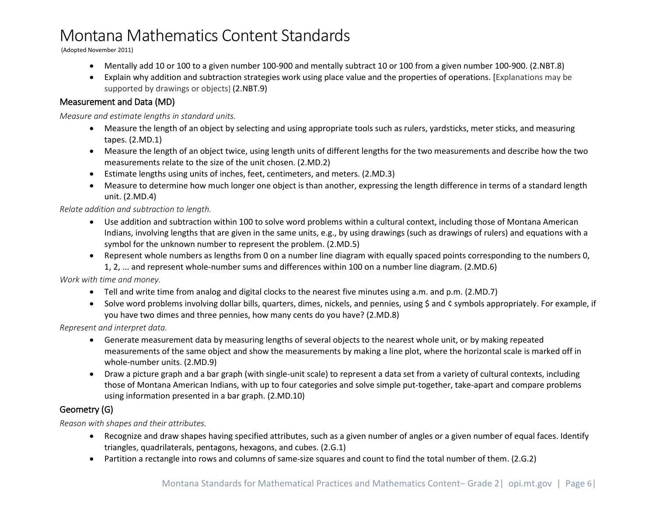(Adopted November 2011)

- Mentally add 10 or 100 to a given number 100-900 and mentally subtract 10 or 100 from a given number 100-900. (2.NBT.8)
- Explain why addition and subtraction strategies work using place value and the properties of operations. [Explanations may be supported by drawings or objects] (2.NBT.9)

#### <span id="page-5-0"></span>Measurement and Data (MD)

*Measure and estimate lengths in standard units.*

- Measure the length of an object by selecting and using appropriate tools such as rulers, yardsticks, meter sticks, and measuring tapes. (2.MD.1)
- Measure the length of an object twice, using length units of different lengths for the two measurements and describe how the two measurements relate to the size of the unit chosen. (2.MD.2)
- Estimate lengths using units of inches, feet, centimeters, and meters. (2.MD.3)
- Measure to determine how much longer one object is than another, expressing the length difference in terms of a standard length unit. (2.MD.4)

*Relate addition and subtraction to length.*

- Use addition and subtraction within 100 to solve word problems within a cultural context, including those of Montana American Indians, involving lengths that are given in the same units, e.g., by using drawings (such as drawings of rulers) and equations with a symbol for the unknown number to represent the problem. (2.MD.5)
- Represent whole numbers as lengths from 0 on a number line diagram with equally spaced points corresponding to the numbers 0, 1, 2, ... and represent whole-number sums and differences within 100 on a number line diagram. (2.MD.6)

*Work with time and money.*

- Tell and write time from analog and digital clocks to the nearest five minutes using a.m. and p.m. (2.MD.7)
- Solve word problems involving dollar bills, quarters, dimes, nickels, and pennies, using \$ and ¢ symbols appropriately. For example, if you have two dimes and three pennies, how many cents do you have? (2.MD.8)

*Represent and interpret data.*

- Generate measurement data by measuring lengths of several objects to the nearest whole unit, or by making repeated measurements of the same object and show the measurements by making a line plot, where the horizontal scale is marked off in whole-number units. (2.MD.9)
- Draw a picture graph and a bar graph (with single-unit scale) to represent a data set from a variety of cultural contexts, including those of Montana American Indians, with up to four categories and solve simple put-together, take-apart and compare problems using information presented in a bar graph. (2.MD.10)

### <span id="page-5-1"></span>Geometry (G)

*Reason with shapes and their attributes.*

- Recognize and draw shapes having specified attributes, such as a given number of angles or a given number of equal faces. Identify triangles, quadrilaterals, pentagons, hexagons, and cubes. (2.G.1)
- Partition a rectangle into rows and columns of same-size squares and count to find the total number of them. (2.G.2)